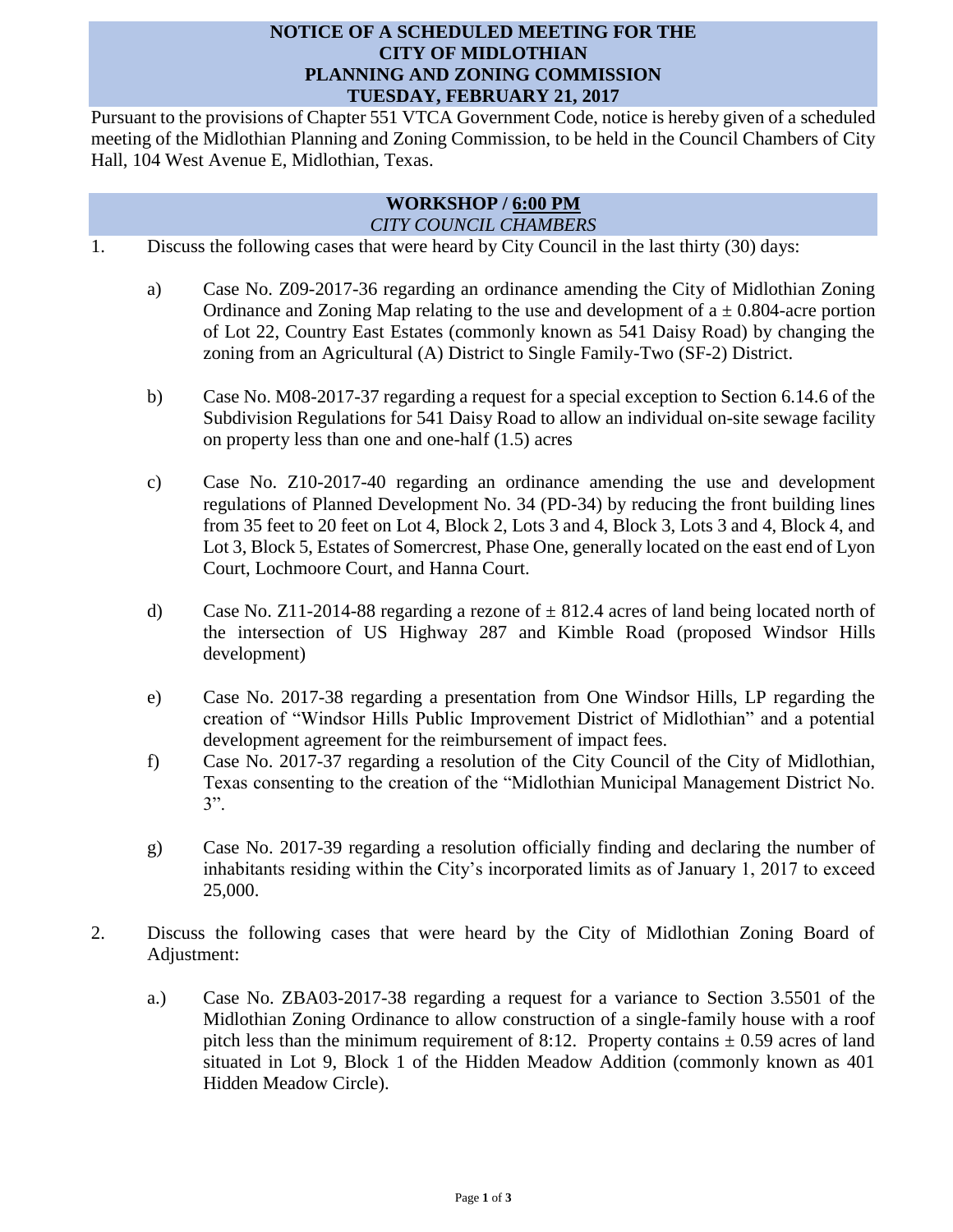## **NOTICE OF A SCHEDULED MEETING FOR THE CITY OF MIDLOTHIAN PLANNING AND ZONING COMMISSION TUESDAY, FEBRUARY 21, 2017**

Pursuant to the provisions of Chapter 551 VTCA Government Code, notice is hereby given of a scheduled meeting of the Midlothian Planning and Zoning Commission, to be held in the Council Chambers of City Hall, 104 West Avenue E, Midlothian, Texas.

## **WORKSHOP / 6:00 PM** *CITY COUNCIL CHAMBERS*

- 1. Discuss the following cases that were heard by City Council in the last thirty (30) days:
	- a) Case No. Z09-2017-36 regarding an ordinance amending the City of Midlothian Zoning Ordinance and Zoning Map relating to the use and development of  $a \pm 0.804$ -acre portion of Lot 22, Country East Estates (commonly known as 541 Daisy Road) by changing the zoning from an Agricultural (A) District to Single Family-Two (SF-2) District.
	- b) Case No. M08-2017-37 regarding a request for a special exception to Section 6.14.6 of the Subdivision Regulations for 541 Daisy Road to allow an individual on-site sewage facility on property less than one and one-half (1.5) acres
	- c) Case No. Z10-2017-40 regarding an ordinance amending the use and development regulations of Planned Development No. 34 (PD-34) by reducing the front building lines from 35 feet to 20 feet on Lot 4, Block 2, Lots 3 and 4, Block 3, Lots 3 and 4, Block 4, and Lot 3, Block 5, Estates of Somercrest, Phase One, generally located on the east end of Lyon Court, Lochmoore Court, and Hanna Court.
	- d) Case No. Z11-2014-88 regarding a rezone of  $\pm$  812.4 acres of land being located north of the intersection of US Highway 287 and Kimble Road (proposed Windsor Hills development)
	- e) Case No. 2017-38 regarding a presentation from One Windsor Hills, LP regarding the creation of "Windsor Hills Public Improvement District of Midlothian" and a potential development agreement for the reimbursement of impact fees.
	- f) Case No. 2017-37 regarding a resolution of the City Council of the City of Midlothian, Texas consenting to the creation of the "Midlothian Municipal Management District No. 3".
	- g) Case No. 2017-39 regarding a resolution officially finding and declaring the number of inhabitants residing within the City's incorporated limits as of January 1, 2017 to exceed 25,000.
- 2. Discuss the following cases that were heard by the City of Midlothian Zoning Board of Adjustment:
	- a.) Case No. ZBA03-2017-38 regarding a request for a variance to Section 3.5501 of the Midlothian Zoning Ordinance to allow construction of a single-family house with a roof pitch less than the minimum requirement of 8:12. Property contains  $\pm$  0.59 acres of land situated in Lot 9, Block 1 of the Hidden Meadow Addition (commonly known as 401 Hidden Meadow Circle).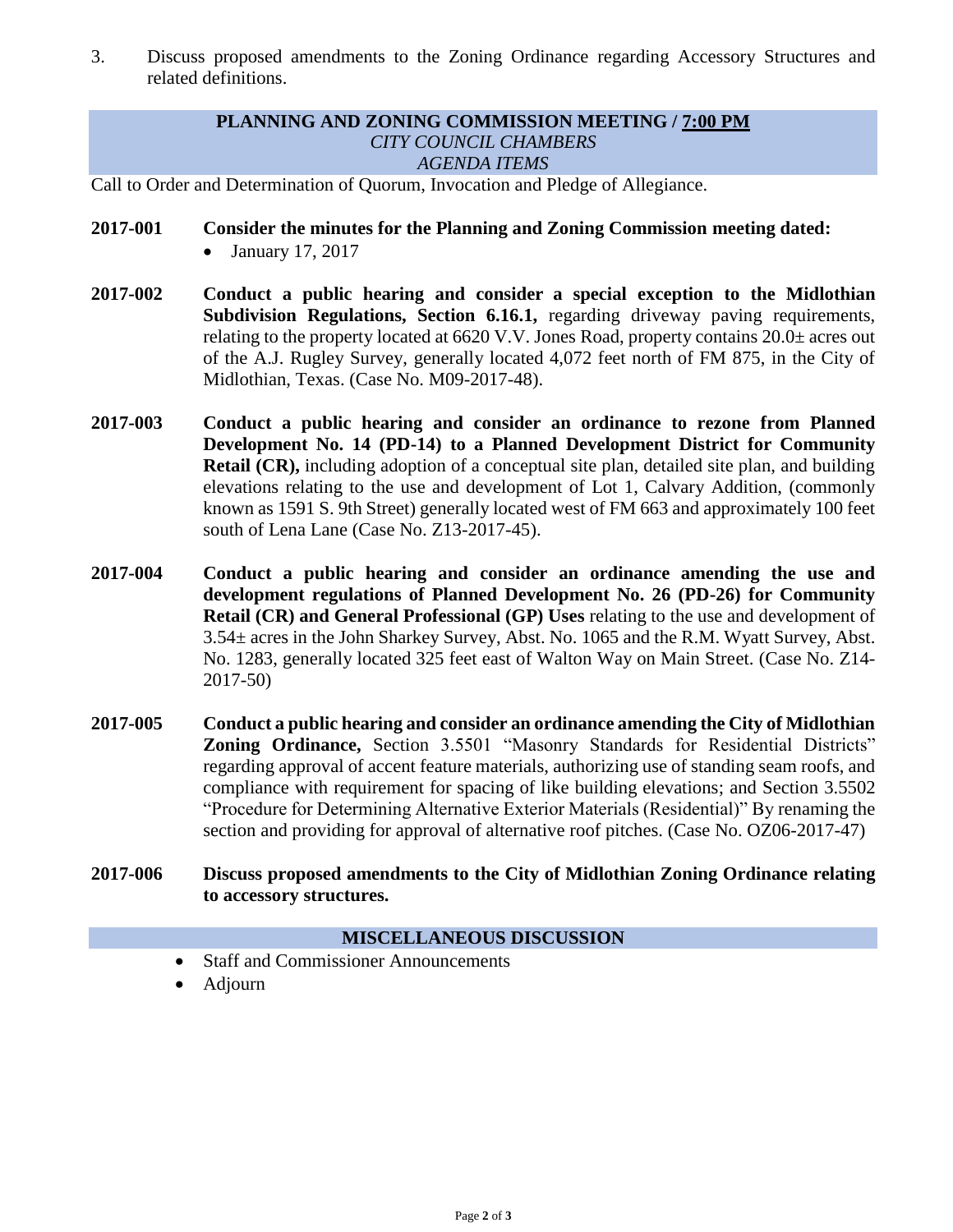3. Discuss proposed amendments to the Zoning Ordinance regarding Accessory Structures and related definitions.

## **PLANNING AND ZONING COMMISSION MEETING / 7:00 PM** *CITY COUNCIL CHAMBERS AGENDA ITEMS*

Call to Order and Determination of Quorum, Invocation and Pledge of Allegiance.

- **2017-001 Consider the minutes for the Planning and Zoning Commission meeting dated:**   $\bullet$  January 17, 2017
- **2017-002 Conduct a public hearing and consider a special exception to the Midlothian Subdivision Regulations, Section 6.16.1,** regarding driveway paving requirements, relating to the property located at 6620 V.V. Jones Road, property contains 20.0± acres out of the A.J. Rugley Survey, generally located 4,072 feet north of FM 875, in the City of Midlothian, Texas. (Case No. M09-2017-48).
- **2017-003 Conduct a public hearing and consider an ordinance to rezone from Planned Development No. 14 (PD-14) to a Planned Development District for Community Retail (CR),** including adoption of a conceptual site plan, detailed site plan, and building elevations relating to the use and development of Lot 1, Calvary Addition, (commonly known as 1591 S. 9th Street) generally located west of FM 663 and approximately 100 feet south of Lena Lane (Case No. Z13-2017-45).
- **2017-004 Conduct a public hearing and consider an ordinance amending the use and development regulations of Planned Development No. 26 (PD-26) for Community Retail (CR) and General Professional (GP) Uses** relating to the use and development of 3.54± acres in the John Sharkey Survey, Abst. No. 1065 and the R.M. Wyatt Survey, Abst. No. 1283, generally located 325 feet east of Walton Way on Main Street. (Case No. Z14- 2017-50)
- **2017-005 Conduct a public hearing and consider an ordinance amending the City of Midlothian Zoning Ordinance,** Section 3.5501 "Masonry Standards for Residential Districts" regarding approval of accent feature materials, authorizing use of standing seam roofs, and compliance with requirement for spacing of like building elevations; and Section 3.5502 "Procedure for Determining Alternative Exterior Materials (Residential)" By renaming the section and providing for approval of alternative roof pitches. (Case No. OZ06-2017-47)
- **2017-006 Discuss proposed amendments to the City of Midlothian Zoning Ordinance relating to accessory structures.**

## **MISCELLANEOUS DISCUSSION**

- Staff and Commissioner Announcements
- Adjourn